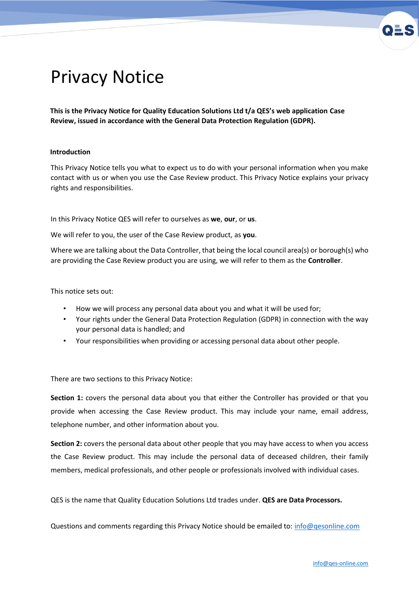

# Privacy Notice

**This is the Privacy Notice for Quality Education Solutions Ltd t/a QES's web application Case Review, issued in accordance with the General Data Protection Regulation (GDPR).** 

# **Introduction**

This Privacy Notice tells you what to expect us to do with your personal information when you make contact with us or when you use the Case Review product. This Privacy Notice explains your privacy rights and responsibilities.

In this Privacy Notice QES will refer to ourselves as **we**, **our**, or **us**.

We will refer to you, the user of the Case Review product, as **you**.

Where we are talking about the Data Controller, that being the local council area(s) or borough(s) who are providing the Case Review product you are using, we will refer to them as the **Controller**.

This notice sets out:

- How we will process any personal data about you and what it will be used for;
- Your rights under the General Data Protection Regulation (GDPR) in connection with the way your personal data is handled; and
- Your responsibilities when providing or accessing personal data about other people.

There are two sections to this Privacy Notice:

**Section 1:** covers the personal data about you that either the Controller has provided or that you provide when accessing the Case Review product. This may include your name, email address, telephone number, and other information about you.

**Section 2:** covers the personal data about other people that you may have access to when you access the Case Review product. This may include the personal data of deceased children, their family members, medical professionals, and other people or professionals involved with individual cases.

QES is the name that Quality Education Solutions Ltd trades under. **QES are Data Processors.**

Questions and comments regarding this Privacy Notice should be emailed to: info@qesonline.com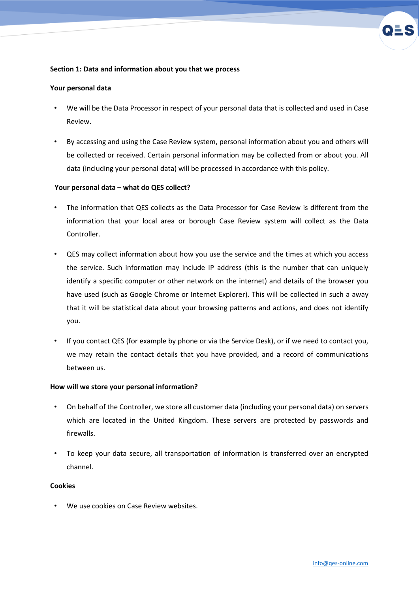# **Section 1: Data and information about you that we process**

## **Your personal data**

- We will be the Data Processor in respect of your personal data that is collected and used in Case Review.
- By accessing and using the Case Review system, personal information about you and others will be collected or received. Certain personal information may be collected from or about you. All data (including your personal data) will be processed in accordance with this policy.

# **Your personal data – what do QES collect?**

- The information that QES collects as the Data Processor for Case Review is different from the information that your local area or borough Case Review system will collect as the Data Controller.
- QES may collect information about how you use the service and the times at which you access the service. Such information may include IP address (this is the number that can uniquely identify a specific computer or other network on the internet) and details of the browser you have used (such as Google Chrome or Internet Explorer). This will be collected in such a away that it will be statistical data about your browsing patterns and actions, and does not identify you.
- If you contact QES (for example by phone or via the Service Desk), or if we need to contact you, we may retain the contact details that you have provided, and a record of communications between us.

#### **How will we store your personal information?**

- On behalf of the Controller, we store all customer data (including your personal data) on servers which are located in the United Kingdom. These servers are protected by passwords and firewalls.
- To keep your data secure, all transportation of information is transferred over an encrypted channel.

### **Cookies**

We use cookies on Case Review websites.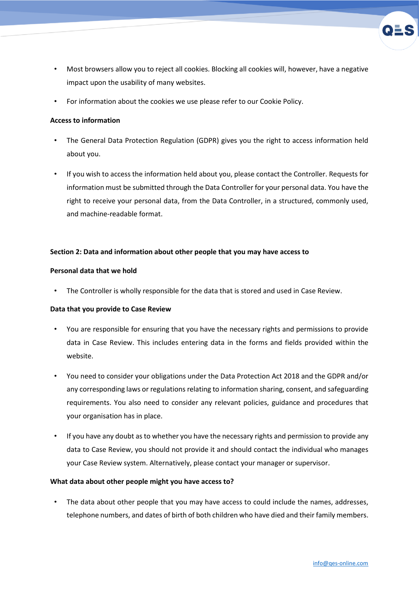- Most browsers allow you to reject all cookies. Blocking all cookies will, however, have a negative impact upon the usability of many websites.
- For information about the cookies we use please refer to our Cookie Policy.

## **Access to information**

- The General Data Protection Regulation (GDPR) gives you the right to access information held about you.
- If you wish to access the information held about you, please contact the Controller. Requests for information must be submitted through the Data Controller for your personal data. You have the right to receive your personal data, from the Data Controller, in a structured, commonly used, and machine-readable format.

### **Section 2: Data and information about other people that you may have access to**

#### **Personal data that we hold**

The Controller is wholly responsible for the data that is stored and used in Case Review.

# **Data that you provide to Case Review**

- You are responsible for ensuring that you have the necessary rights and permissions to provide data in Case Review. This includes entering data in the forms and fields provided within the website.
- You need to consider your obligations under the Data Protection Act 2018 and the GDPR and/or any corresponding laws or regulations relating to information sharing, consent, and safeguarding requirements. You also need to consider any relevant policies, guidance and procedures that your organisation has in place.
- If you have any doubt as to whether you have the necessary rights and permission to provide any data to Case Review, you should not provide it and should contact the individual who manages your Case Review system. Alternatively, please contact your manager or supervisor.

#### **What data about other people might you have access to?**

The data about other people that you may have access to could include the names, addresses, telephone numbers, and dates of birth of both children who have died and their family members.